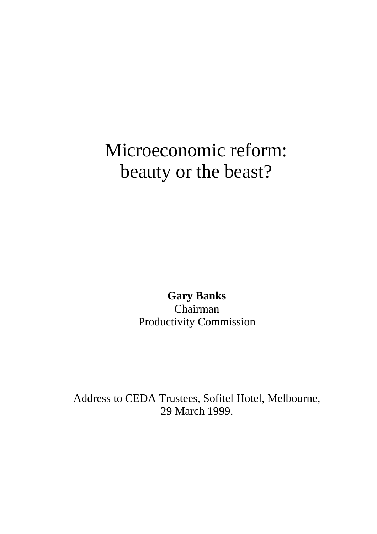# Microeconomic reform: beauty or the beast?

**Gary Banks** Chairman Productivity Commission

Address to CEDA Trustees, Sofitel Hotel, Melbourne, 29 March 1999.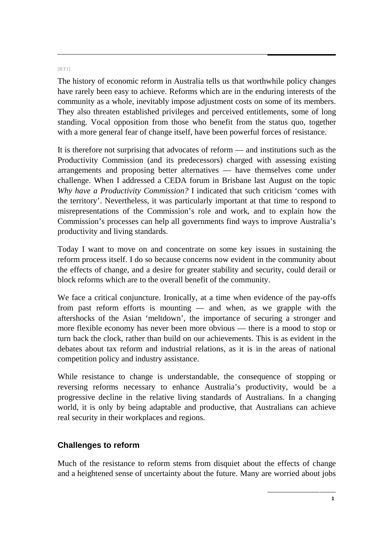#### **[RT1]**

The history of economic reform in Australia tells us that worthwhile policy changes have rarely been easy to achieve. Reforms which are in the enduring interests of the community as a whole, inevitably impose adjustment costs on some of its members. They also threaten established privileges and perceived entitlements, some of long standing. Vocal opposition from those who benefit from the status quo, together with a more general fear of change itself, have been powerful forces of resistance.

It is therefore not surprising that advocates of reform — and institutions such as the Productivity Commission (and its predecessors) charged with assessing existing arrangements and proposing better alternatives — have themselves come under challenge. When I addressed a CEDA forum in Brisbane last August on the topic *Why have a Productivity Commission?* I indicated that such criticism 'comes with the territory'. Nevertheless, it was particularly important at that time to respond to misrepresentations of the Commission's role and work, and to explain how the Commission's processes can help all governments find ways to improve Australia's productivity and living standards.

Today I want to move on and concentrate on some key issues in sustaining the reform process itself. I do so because concerns now evident in the community about the effects of change, and a desire for greater stability and security, could derail or block reforms which are to the overall benefit of the community.

We face a critical conjuncture. Ironically, at a time when evidence of the pay-offs from past reform efforts is mounting — and when, as we grapple with the aftershocks of the Asian 'meltdown', the importance of securing a stronger and more flexible economy has never been more obvious — there is a mood to stop or turn back the clock, rather than build on our achievements. This is as evident in the debates about tax reform and industrial relations, as it is in the areas of national competition policy and industry assistance.

While resistance to change is understandable, the consequence of stopping or reversing reforms necessary to enhance Australia's productivity, would be a progressive decline in the relative living standards of Australians. In a changing world, it is only by being adaptable and productive, that Australians can achieve real security in their workplaces and regions.

# **Challenges to reform**

Much of the resistance to reform stems from disquiet about the effects of change and a heightened sense of uncertainty about the future. Many are worried about jobs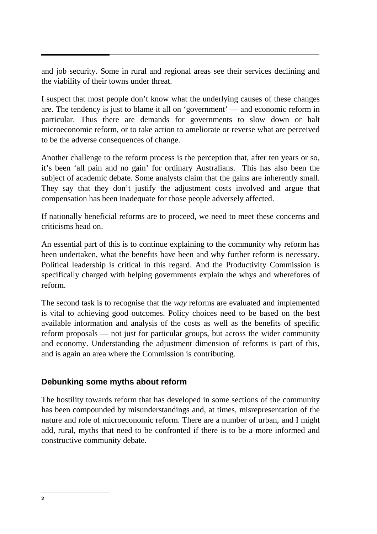and job security. Some in rural and regional areas see their services declining and the viability of their towns under threat.

I suspect that most people don't know what the underlying causes of these changes are. The tendency is just to blame it all on 'government' — and economic reform in particular. Thus there are demands for governments to slow down or halt microeconomic reform, or to take action to ameliorate or reverse what are perceived to be the adverse consequences of change.

Another challenge to the reform process is the perception that, after ten years or so, it's been 'all pain and no gain' for ordinary Australians. This has also been the subject of academic debate. Some analysts claim that the gains are inherently small. They say that they don't justify the adjustment costs involved and argue that compensation has been inadequate for those people adversely affected.

If nationally beneficial reforms are to proceed, we need to meet these concerns and criticisms head on.

An essential part of this is to continue explaining to the community why reform has been undertaken, what the benefits have been and why further reform is necessary. Political leadership is critical in this regard. And the Productivity Commission is specifically charged with helping governments explain the whys and wherefores of reform.

The second task is to recognise that the *way* reforms are evaluated and implemented is vital to achieving good outcomes. Policy choices need to be based on the best available information and analysis of the costs as well as the benefits of specific reform proposals — not just for particular groups, but across the wider community and economy. Understanding the adjustment dimension of reforms is part of this, and is again an area where the Commission is contributing.

# **Debunking some myths about reform**

The hostility towards reform that has developed in some sections of the community has been compounded by misunderstandings and, at times, misrepresentation of the nature and role of microeconomic reform. There are a number of urban, and I might add, rural, myths that need to be confronted if there is to be a more informed and constructive community debate.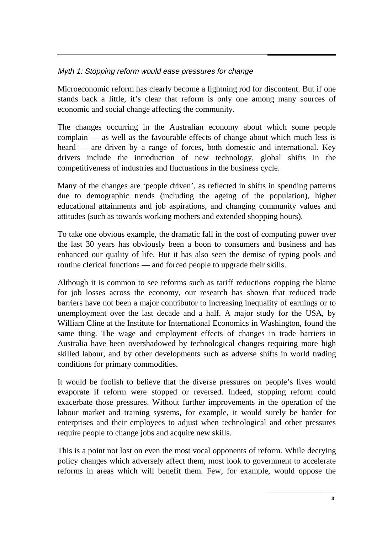## Myth 1: Stopping reform would ease pressures for change

Microeconomic reform has clearly become a lightning rod for discontent. But if one stands back a little, it's clear that reform is only one among many sources of economic and social change affecting the community.

The changes occurring in the Australian economy about which some people complain — as well as the favourable effects of change about which much less is heard — are driven by a range of forces, both domestic and international. Key drivers include the introduction of new technology, global shifts in the competitiveness of industries and fluctuations in the business cycle.

Many of the changes are 'people driven', as reflected in shifts in spending patterns due to demographic trends (including the ageing of the population), higher educational attainments and job aspirations, and changing community values and attitudes (such as towards working mothers and extended shopping hours).

To take one obvious example, the dramatic fall in the cost of computing power over the last 30 years has obviously been a boon to consumers and business and has enhanced our quality of life. But it has also seen the demise of typing pools and routine clerical functions — and forced people to upgrade their skills.

Although it is common to see reforms such as tariff reductions copping the blame for job losses across the economy, our research has shown that reduced trade barriers have not been a major contributor to increasing inequality of earnings or to unemployment over the last decade and a half. A major study for the USA, by William Cline at the Institute for International Economics in Washington, found the same thing. The wage and employment effects of changes in trade barriers in Australia have been overshadowed by technological changes requiring more high skilled labour, and by other developments such as adverse shifts in world trading conditions for primary commodities.

It would be foolish to believe that the diverse pressures on people's lives would evaporate if reform were stopped or reversed. Indeed, stopping reform could exacerbate those pressures. Without further improvements in the operation of the labour market and training systems, for example, it would surely be harder for enterprises and their employees to adjust when technological and other pressures require people to change jobs and acquire new skills.

This is a point not lost on even the most vocal opponents of reform. While decrying policy changes which adversely affect them, most look to government to accelerate reforms in areas which will benefit them. Few, for example, would oppose the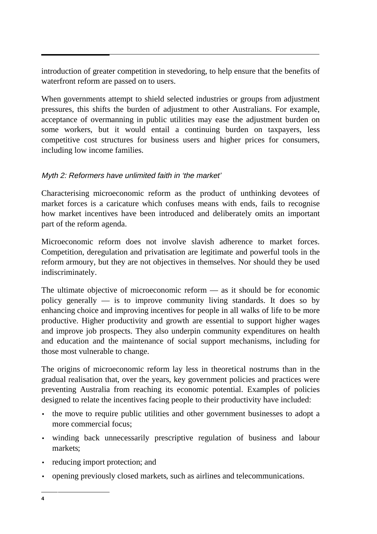introduction of greater competition in stevedoring, to help ensure that the benefits of waterfront reform are passed on to users.

When governments attempt to shield selected industries or groups from adjustment pressures, this shifts the burden of adjustment to other Australians. For example, acceptance of overmanning in public utilities may ease the adjustment burden on some workers, but it would entail a continuing burden on taxpayers, less competitive cost structures for business users and higher prices for consumers, including low income families.

# Myth 2: Reformers have unlimited faith in 'the market'

Characterising microeconomic reform as the product of unthinking devotees of market forces is a caricature which confuses means with ends, fails to recognise how market incentives have been introduced and deliberately omits an important part of the reform agenda.

Microeconomic reform does not involve slavish adherence to market forces. Competition, deregulation and privatisation are legitimate and powerful tools in the reform armoury, but they are not objectives in themselves. Nor should they be used indiscriminately.

The ultimate objective of microeconomic reform — as it should be for economic policy generally  $\overline{\phantom{a}}$  is to improve community living standards. It does so by enhancing choice and improving incentives for people in all walks of life to be more productive. Higher productivity and growth are essential to support higher wages and improve job prospects. They also underpin community expenditures on health and education and the maintenance of social support mechanisms, including for those most vulnerable to change.

The origins of microeconomic reform lay less in theoretical nostrums than in the gradual realisation that, over the years, key government policies and practices were preventing Australia from reaching its economic potential. Examples of policies designed to relate the incentives facing people to their productivity have included:

- the move to require public utilities and other government businesses to adopt a more commercial focus;
- winding back unnecessarily prescriptive regulation of business and labour markets;
- reducing import protection; and
- opening previously closed markets, such as airlines and telecommunications.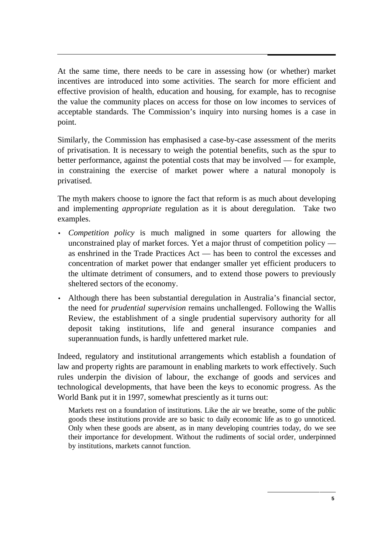At the same time, there needs to be care in assessing how (or whether) market incentives are introduced into some activities. The search for more efficient and effective provision of health, education and housing, for example, has to recognise the value the community places on access for those on low incomes to services of acceptable standards. The Commission's inquiry into nursing homes is a case in point.

Similarly, the Commission has emphasised a case-by-case assessment of the merits of privatisation. It is necessary to weigh the potential benefits, such as the spur to better performance, against the potential costs that may be involved — for example, in constraining the exercise of market power where a natural monopoly is privatised.

The myth makers choose to ignore the fact that reform is as much about developing and implementing *appropriate* regulation as it is about deregulation. Take two examples.

- *Competition policy* is much maligned in some quarters for allowing the unconstrained play of market forces. Yet a major thrust of competition policy as enshrined in the Trade Practices Act — has been to control the excesses and concentration of market power that endanger smaller yet efficient producers to the ultimate detriment of consumers, and to extend those powers to previously sheltered sectors of the economy.
- Although there has been substantial deregulation in Australia's financial sector, the need for *prudential supervision* remains unchallenged. Following the Wallis Review, the establishment of a single prudential supervisory authority for all deposit taking institutions, life and general insurance companies and superannuation funds, is hardly unfettered market rule.

Indeed, regulatory and institutional arrangements which establish a foundation of law and property rights are paramount in enabling markets to work effectively. Such rules underpin the division of labour, the exchange of goods and services and technological developments, that have been the keys to economic progress. As the World Bank put it in 1997, somewhat presciently as it turns out:

Markets rest on a foundation of institutions. Like the air we breathe, some of the public goods these institutions provide are so basic to daily economic life as to go unnoticed. Only when these goods are absent, as in many developing countries today, do we see their importance for development. Without the rudiments of social order, underpinned by institutions, markets cannot function.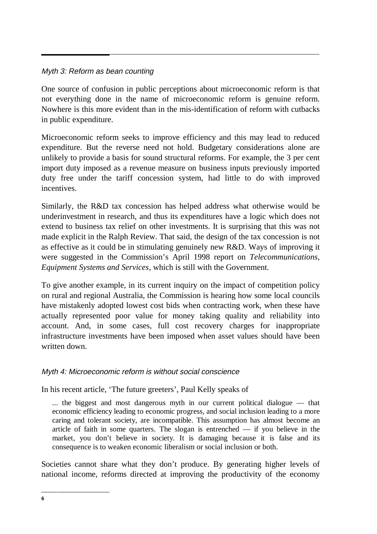### Myth 3: Reform as bean counting

One source of confusion in public perceptions about microeconomic reform is that not everything done in the name of microeconomic reform is genuine reform. Nowhere is this more evident than in the mis-identification of reform with cutbacks in public expenditure.

Microeconomic reform seeks to improve efficiency and this may lead to reduced expenditure. But the reverse need not hold. Budgetary considerations alone are unlikely to provide a basis for sound structural reforms. For example, the 3 per cent import duty imposed as a revenue measure on business inputs previously imported duty free under the tariff concession system, had little to do with improved incentives.

Similarly, the R&D tax concession has helped address what otherwise would be underinvestment in research, and thus its expenditures have a logic which does not extend to business tax relief on other investments. It is surprising that this was not made explicit in the Ralph Review. That said, the design of the tax concession is not as effective as it could be in stimulating genuinely new R&D. Ways of improving it were suggested in the Commission's April 1998 report on *Telecommunications, Equipment Systems and Services*, which is still with the Government.

To give another example, in its current inquiry on the impact of competition policy on rural and regional Australia, the Commission is hearing how some local councils have mistakenly adopted lowest cost bids when contracting work, when these have actually represented poor value for money taking quality and reliability into account. And, in some cases, full cost recovery charges for inappropriate infrastructure investments have been imposed when asset values should have been written down.

#### Myth 4: Microeconomic reform is without social conscience

In his recent article, 'The future greeters', Paul Kelly speaks of

... the biggest and most dangerous myth in our current political dialogue — that economic efficiency leading to economic progress, and social inclusion leading to a more caring and tolerant society, are incompatible. This assumption has almost become an article of faith in some quarters. The slogan is entrenched — if you believe in the market, you don't believe in society. It is damaging because it is false and its consequence is to weaken economic liberalism or social inclusion or both.

Societies cannot share what they don't produce. By generating higher levels of national income, reforms directed at improving the productivity of the economy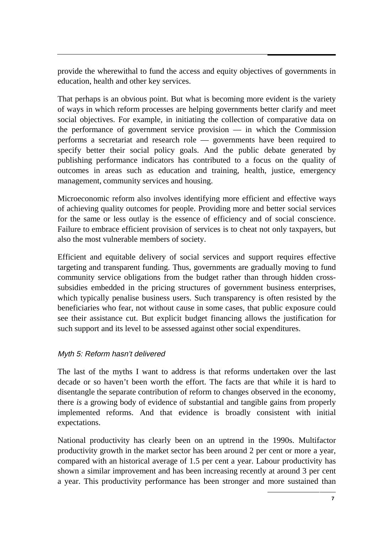provide the wherewithal to fund the access and equity objectives of governments in education, health and other key services.

That perhaps is an obvious point. But what is becoming more evident is the variety of ways in which reform processes are helping governments better clarify and meet social objectives. For example, in initiating the collection of comparative data on the performance of government service provision — in which the Commission performs a secretariat and research role — governments have been required to specify better their social policy goals. And the public debate generated by publishing performance indicators has contributed to a focus on the quality of outcomes in areas such as education and training, health, justice, emergency management, community services and housing.

Microeconomic reform also involves identifying more efficient and effective ways of achieving quality outcomes for people. Providing more and better social services for the same or less outlay is the essence of efficiency and of social conscience. Failure to embrace efficient provision of services is to cheat not only taxpayers, but also the most vulnerable members of society.

Efficient and equitable delivery of social services and support requires effective targeting and transparent funding. Thus, governments are gradually moving to fund community service obligations from the budget rather than through hidden crosssubsidies embedded in the pricing structures of government business enterprises, which typically penalise business users. Such transparency is often resisted by the beneficiaries who fear, not without cause in some cases, that public exposure could see their assistance cut. But explicit budget financing allows the justification for such support and its level to be assessed against other social expenditures.

#### Myth 5: Reform hasn't delivered

The last of the myths I want to address is that reforms undertaken over the last decade or so haven't been worth the effort. The facts are that while it is hard to disentangle the separate contribution of reform to changes observed in the economy, there *is* a growing body of evidence of substantial and tangible gains from properly implemented reforms. And that evidence is broadly consistent with initial expectations.

National productivity has clearly been on an uptrend in the 1990s. Multifactor productivity growth in the market sector has been around 2 per cent or more a year, compared with an historical average of 1.5 per cent a year. Labour productivity has shown a similar improvement and has been increasing recently at around 3 per cent a year. This productivity performance has been stronger and more sustained than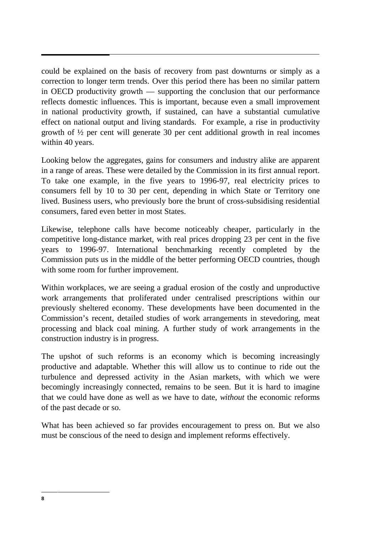could be explained on the basis of recovery from past downturns or simply as a correction to longer term trends. Over this period there has been no similar pattern in OECD productivity growth — supporting the conclusion that our performance reflects domestic influences. This is important, because even a small improvement in national productivity growth, if sustained, can have a substantial cumulative effect on national output and living standards. For example, a rise in productivity growth of ½ per cent will generate 30 per cent additional growth in real incomes within 40 years.

Looking below the aggregates, gains for consumers and industry alike are apparent in a range of areas. These were detailed by the Commission in its first annual report. To take one example, in the five years to 1996-97, real electricity prices to consumers fell by 10 to 30 per cent, depending in which State or Territory one lived. Business users, who previously bore the brunt of cross-subsidising residential consumers, fared even better in most States.

Likewise, telephone calls have become noticeably cheaper, particularly in the competitive long-distance market, with real prices dropping 23 per cent in the five years to 1996-97. International benchmarking recently completed by the Commission puts us in the middle of the better performing OECD countries, though with some room for further improvement.

Within workplaces, we are seeing a gradual erosion of the costly and unproductive work arrangements that proliferated under centralised prescriptions within our previously sheltered economy. These developments have been documented in the Commission's recent, detailed studies of work arrangements in stevedoring, meat processing and black coal mining. A further study of work arrangements in the construction industry is in progress.

The upshot of such reforms is an economy which is becoming increasingly productive and adaptable. Whether this will allow us to continue to ride out the turbulence and depressed activity in the Asian markets, with which we were becomingly increasingly connected, remains to be seen. But it is hard to imagine that we could have done as well as we have to date, *without* the economic reforms of the past decade or so.

What has been achieved so far provides encouragement to press on. But we also must be conscious of the need to design and implement reforms effectively.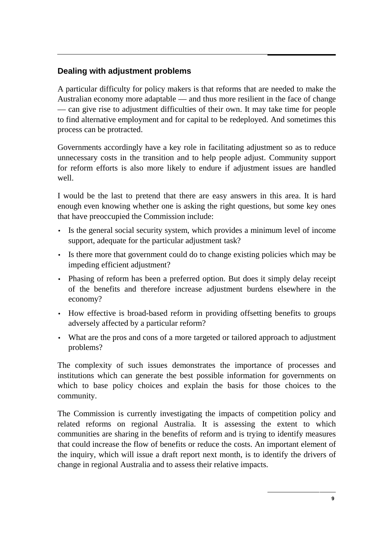# **Dealing with adjustment problems**

A particular difficulty for policy makers is that reforms that are needed to make the Australian economy more adaptable — and thus more resilient in the face of change — can give rise to adjustment difficulties of their own. It may take time for people to find alternative employment and for capital to be redeployed. And sometimes this process can be protracted.

Governments accordingly have a key role in facilitating adjustment so as to reduce unnecessary costs in the transition and to help people adjust. Community support for reform efforts is also more likely to endure if adjustment issues are handled well.

I would be the last to pretend that there are easy answers in this area. It is hard enough even knowing whether one is asking the right questions, but some key ones that have preoccupied the Commission include:

- Is the general social security system, which provides a minimum level of income support, adequate for the particular adjustment task?
- Is there more that government could do to change existing policies which may be impeding efficient adjustment?
- Phasing of reform has been a preferred option. But does it simply delay receipt of the benefits and therefore increase adjustment burdens elsewhere in the economy?
- How effective is broad-based reform in providing offsetting benefits to groups adversely affected by a particular reform?
- What are the pros and cons of a more targeted or tailored approach to adjustment problems?

The complexity of such issues demonstrates the importance of processes and institutions which can generate the best possible information for governments on which to base policy choices and explain the basis for those choices to the community.

The Commission is currently investigating the impacts of competition policy and related reforms on regional Australia. It is assessing the extent to which communities are sharing in the benefits of reform and is trying to identify measures that could increase the flow of benefits or reduce the costs. An important element of the inquiry, which will issue a draft report next month, is to identify the drivers of change in regional Australia and to assess their relative impacts.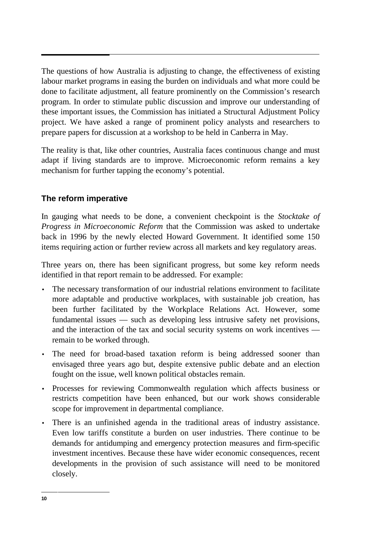The questions of how Australia is adjusting to change, the effectiveness of existing labour market programs in easing the burden on individuals and what more could be done to facilitate adjustment, all feature prominently on the Commission's research program. In order to stimulate public discussion and improve our understanding of these important issues, the Commission has initiated a Structural Adjustment Policy project. We have asked a range of prominent policy analysts and researchers to prepare papers for discussion at a workshop to be held in Canberra in May.

The reality is that, like other countries, Australia faces continuous change and must adapt if living standards are to improve. Microeconomic reform remains a key mechanism for further tapping the economy's potential.

# **The reform imperative**

In gauging what needs to be done, a convenient checkpoint is the *Stocktake of Progress in Microeconomic Reform* that the Commission was asked to undertake back in 1996 by the newly elected Howard Government. It identified some 150 items requiring action or further review across all markets and key regulatory areas.

Three years on, there has been significant progress, but some key reform needs identified in that report remain to be addressed. For example:

- The necessary transformation of our industrial relations environment to facilitate more adaptable and productive workplaces, with sustainable job creation, has been further facilitated by the Workplace Relations Act. However, some fundamental issues — such as developing less intrusive safety net provisions, and the interaction of the tax and social security systems on work incentives remain to be worked through.
- The need for broad-based taxation reform is being addressed sooner than envisaged three years ago but, despite extensive public debate and an election fought on the issue, well known political obstacles remain.
- Processes for reviewing Commonwealth regulation which affects business or restricts competition have been enhanced, but our work shows considerable scope for improvement in departmental compliance.
- There is an unfinished agenda in the traditional areas of industry assistance. Even low tariffs constitute a burden on user industries. There continue to be demands for antidumping and emergency protection measures and firm-specific investment incentives. Because these have wider economic consequences, recent developments in the provision of such assistance will need to be monitored closely.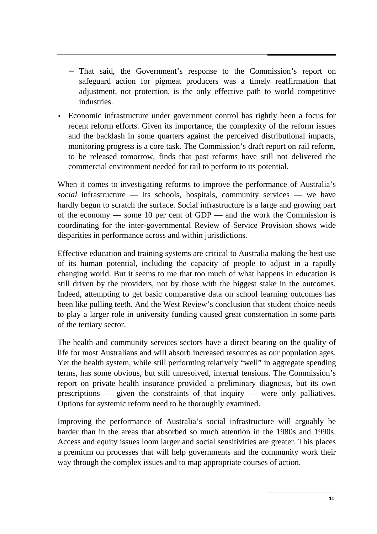- − That said, the Government's response to the Commission's report on safeguard action for pigmeat producers was a timely reaffirmation that adjustment, not protection, is the only effective path to world competitive industries.
- Economic infrastructure under government control has rightly been a focus for recent reform efforts. Given its importance, the complexity of the reform issues and the backlash in some quarters against the perceived distributional impacts, monitoring progress is a core task. The Commission's draft report on rail reform, to be released tomorrow, finds that past reforms have still not delivered the commercial environment needed for rail to perform to its potential.

When it comes to investigating reforms to improve the performance of Australia's *social* infrastructure — its schools, hospitals, community services — we have hardly begun to scratch the surface. Social infrastructure is a large and growing part of the economy — some 10 per cent of GDP — and the work the Commission is coordinating for the inter-governmental Review of Service Provision shows wide disparities in performance across and within jurisdictions.

Effective education and training systems are critical to Australia making the best use of its human potential, including the capacity of people to adjust in a rapidly changing world. But it seems to me that too much of what happens in education is still driven by the providers, not by those with the biggest stake in the outcomes. Indeed, attempting to get basic comparative data on school learning outcomes has been like pulling teeth. And the West Review's conclusion that student choice needs to play a larger role in university funding caused great consternation in some parts of the tertiary sector.

The health and community services sectors have a direct bearing on the quality of life for most Australians and will absorb increased resources as our population ages. Yet the health system, while still performing relatively "well" in aggregate spending terms, has some obvious, but still unresolved, internal tensions. The Commission's report on private health insurance provided a preliminary diagnosis, but its own prescriptions — given the constraints of that inquiry — were only palliatives. Options for systemic reform need to be thoroughly examined.

Improving the performance of Australia's social infrastructure will arguably be harder than in the areas that absorbed so much attention in the 1980s and 1990s. Access and equity issues loom larger and social sensitivities are greater. This places a premium on processes that will help governments and the community work their way through the complex issues and to map appropriate courses of action.